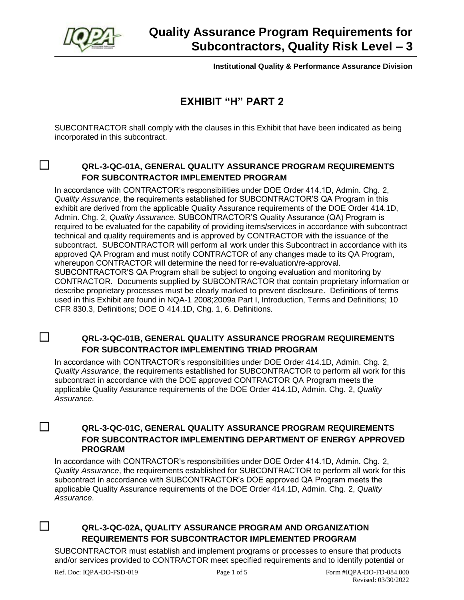

**Institutional Quality & Performance Assurance Division**

# **EXHIBIT "H" PART 2**

SUBCONTRACTOR shall comply with the clauses in this Exhibit that have been indicated as being incorporated in this subcontract.

# ☐ **QRL-3-QC-01A, GENERAL QUALITY ASSURANCE PROGRAM REQUIREMENTS FOR SUBCONTRACTOR IMPLEMENTED PROGRAM**

In accordance with CONTRACTOR's responsibilities under DOE Order 414.1D, Admin. Chg. 2, *Quality Assurance*, the requirements established for SUBCONTRACTOR'S QA Program in this exhibit are derived from the applicable Quality Assurance requirements of the DOE Order 414.1D, Admin. Chg. 2, *Quality Assurance*. SUBCONTRACTOR'S Quality Assurance (QA) Program is required to be evaluated for the capability of providing items/services in accordance with subcontract technical and quality requirements and is approved by CONTRACTOR with the issuance of the subcontract. SUBCONTRACTOR will perform all work under this Subcontract in accordance with its approved QA Program and must notify CONTRACTOR of any changes made to its QA Program, whereupon CONTRACTOR will determine the need for re-evaluation/re-approval. SUBCONTRACTOR'S QA Program shall be subject to ongoing evaluation and monitoring by CONTRACTOR. Documents supplied by SUBCONTRACTOR that contain proprietary information or describe proprietary processes must be clearly marked to prevent disclosure. Definitions of terms used in this Exhibit are found in NQA-1 2008;2009a Part I, Introduction, Terms and Definitions; 10 CFR 830.3, Definitions; DOE O 414.1D, Chg. 1, 6. Definitions.

# ☐ **QRL-3-QC-01B, GENERAL QUALITY ASSURANCE PROGRAM REQUIREMENTS FOR SUBCONTRACTOR IMPLEMENTING TRIAD PROGRAM**

In accordance with CONTRACTOR's responsibilities under DOE Order 414.1D, Admin. Chg. 2, *Quality Assurance*, the requirements established for SUBCONTRACTOR to perform all work for this subcontract in accordance with the DOE approved CONTRACTOR QA Program meets the applicable Quality Assurance requirements of the DOE Order 414.1D, Admin. Chg. 2, *Quality Assurance*.

# ☐ **QRL-3-QC-01C, GENERAL QUALITY ASSURANCE PROGRAM REQUIREMENTS FOR SUBCONTRACTOR IMPLEMENTING DEPARTMENT OF ENERGY APPROVED PROGRAM**

In accordance with CONTRACTOR's responsibilities under DOE Order 414.1D, Admin. Chg. 2, *Quality Assurance*, the requirements established for SUBCONTRACTOR to perform all work for this subcontract in accordance with SUBCONTRACTOR's DOE approved QA Program meets the applicable Quality Assurance requirements of the DOE Order 414.1D, Admin. Chg. 2, *Quality Assurance*.

# ☐ **QRL-3-QC-02A, QUALITY ASSURANCE PROGRAM AND ORGANIZATION REQUIREMENTS FOR SUBCONTRACTOR IMPLEMENTED PROGRAM**

SUBCONTRACTOR must establish and implement programs or processes to ensure that products and/or services provided to CONTRACTOR meet specified requirements and to identify potential or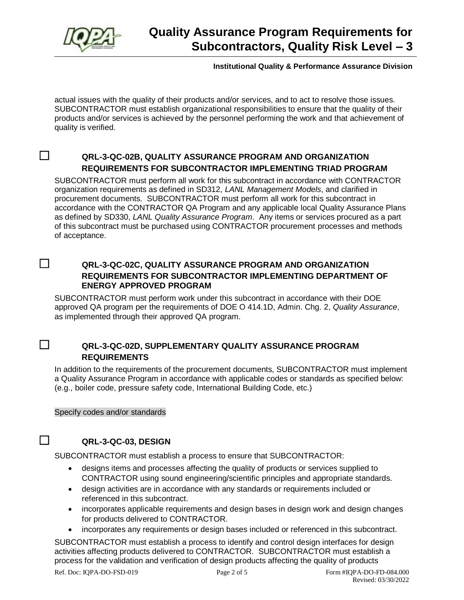

### **Institutional Quality & Performance Assurance Division**

actual issues with the quality of their products and/or services, and to act to resolve those issues. SUBCONTRACTOR must establish organizational responsibilities to ensure that the quality of their products and/or services is achieved by the personnel performing the work and that achievement of quality is verified.

# ☐ **QRL-3-QC-02B, QUALITY ASSURANCE PROGRAM AND ORGANIZATION REQUIREMENTS FOR SUBCONTRACTOR IMPLEMENTING TRIAD PROGRAM**

SUBCONTRACTOR must perform all work for this subcontract in accordance with CONTRACTOR organization requirements as defined in SD312, *LANL Management Models*, and clarified in procurement documents. SUBCONTRACTOR must perform all work for this subcontract in accordance with the CONTRACTOR QA Program and any applicable local Quality Assurance Plans as defined by SD330, *LANL Quality Assurance Program*. Any items or services procured as a part of this subcontract must be purchased using CONTRACTOR procurement processes and methods of acceptance.

# ☐ **QRL-3-QC-02C, QUALITY ASSURANCE PROGRAM AND ORGANIZATION REQUIREMENTS FOR SUBCONTRACTOR IMPLEMENTING DEPARTMENT OF ENERGY APPROVED PROGRAM**

SUBCONTRACTOR must perform work under this subcontract in accordance with their DOE approved QA program per the requirements of DOE O 414.1D, Admin. Chg. 2, *Quality Assurance*, as implemented through their approved QA program.

# ☐ **QRL-3-QC-02D, SUPPLEMENTARY QUALITY ASSURANCE PROGRAM REQUIREMENTS**

In addition to the requirements of the procurement documents, SUBCONTRACTOR must implement a Quality Assurance Program in accordance with applicable codes or standards as specified below: (e.g., boiler code, pressure safety code, International Building Code, etc.)

Specify codes and/or standards

# ☐ **QRL-3-QC-03, DESIGN**

SUBCONTRACTOR must establish a process to ensure that SUBCONTRACTOR:

- designs items and processes affecting the quality of products or services supplied to CONTRACTOR using sound engineering/scientific principles and appropriate standards.
- design activities are in accordance with any standards or requirements included or referenced in this subcontract.
- incorporates applicable requirements and design bases in design work and design changes for products delivered to CONTRACTOR.
- incorporates any requirements or design bases included or referenced in this subcontract.

SUBCONTRACTOR must establish a process to identify and control design interfaces for design activities affecting products delivered to CONTRACTOR. SUBCONTRACTOR must establish a process for the validation and verification of design products affecting the quality of products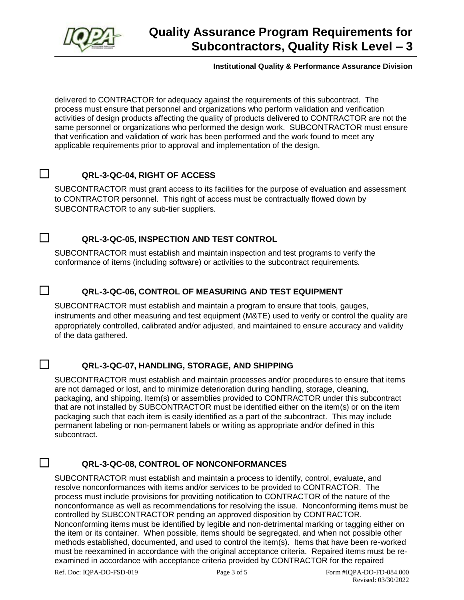

### **Institutional Quality & Performance Assurance Division**

delivered to CONTRACTOR for adequacy against the requirements of this subcontract. The process must ensure that personnel and organizations who perform validation and verification activities of design products affecting the quality of products delivered to CONTRACTOR are not the same personnel or organizations who performed the design work. SUBCONTRACTOR must ensure that verification and validation of work has been performed and the work found to meet any applicable requirements prior to approval and implementation of the design.

# ☐ **QRL-3-QC-04, RIGHT OF ACCESS**

SUBCONTRACTOR must grant access to its facilities for the purpose of evaluation and assessment to CONTRACTOR personnel. This right of access must be contractually flowed down by SUBCONTRACTOR to any sub-tier suppliers.

# ☐ **QRL-3-QC-05, INSPECTION AND TEST CONTROL**

SUBCONTRACTOR must establish and maintain inspection and test programs to verify the conformance of items (including software) or activities to the subcontract requirements.

# ☐ **QRL-3-QC-06, CONTROL OF MEASURING AND TEST EQUIPMENT**

SUBCONTRACTOR must establish and maintain a program to ensure that tools, gauges, instruments and other measuring and test equipment (M&TE) used to verify or control the quality are appropriately controlled, calibrated and/or adjusted, and maintained to ensure accuracy and validity of the data gathered.

# ☐ **QRL-3-QC-07, HANDLING, STORAGE, AND SHIPPING**

SUBCONTRACTOR must establish and maintain processes and/or procedures to ensure that items are not damaged or lost, and to minimize deterioration during handling, storage, cleaning, packaging, and shipping. Item(s) or assemblies provided to CONTRACTOR under this subcontract that are not installed by SUBCONTRACTOR must be identified either on the item(s) or on the item packaging such that each item is easily identified as a part of the subcontract. This may include permanent labeling or non-permanent labels or writing as appropriate and/or defined in this subcontract.

# ☐ **QRL-3-QC-08, CONTROL OF NONCONFORMANCES**

SUBCONTRACTOR must establish and maintain a process to identify, control, evaluate, and resolve nonconformances with items and/or services to be provided to CONTRACTOR. The process must include provisions for providing notification to CONTRACTOR of the nature of the nonconformance as well as recommendations for resolving the issue. Nonconforming items must be controlled by SUBCONTRACTOR pending an approved disposition by CONTRACTOR. Nonconforming items must be identified by legible and non-detrimental marking or tagging either on the item or its container. When possible, items should be segregated, and when not possible other methods established, documented, and used to control the item(s). Items that have been re-worked must be reexamined in accordance with the original acceptance criteria. Repaired items must be reexamined in accordance with acceptance criteria provided by CONTRACTOR for the repaired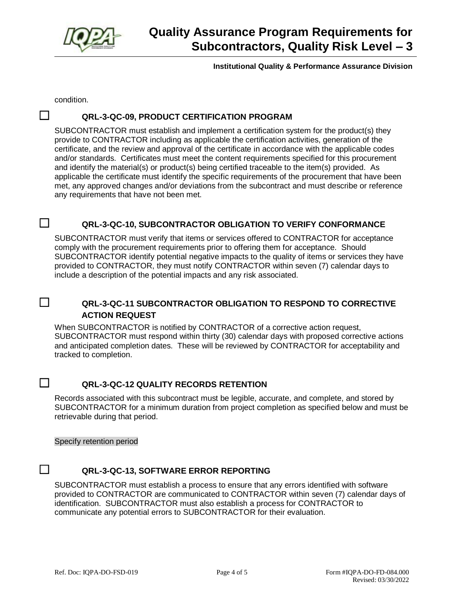

**Institutional Quality & Performance Assurance Division**

condition.

# ☐ **QRL-3-QC-09, PRODUCT CERTIFICATION PROGRAM**

SUBCONTRACTOR must establish and implement a certification system for the product(s) they provide to CONTRACTOR including as applicable the certification activities, generation of the certificate, and the review and approval of the certificate in accordance with the applicable codes and/or standards. Certificates must meet the content requirements specified for this procurement and identify the material(s) or product(s) being certified traceable to the item(s) provided. As applicable the certificate must identify the specific requirements of the procurement that have been met, any approved changes and/or deviations from the subcontract and must describe or reference any requirements that have not been met.

# ☐ **QRL-3-QC-10, SUBCONTRACTOR OBLIGATION TO VERIFY CONFORMANCE**

SUBCONTRACTOR must verify that items or services offered to CONTRACTOR for acceptance comply with the procurement requirements prior to offering them for acceptance. Should SUBCONTRACTOR identify potential negative impacts to the quality of items or services they have provided to CONTRACTOR, they must notify CONTRACTOR within seven (7) calendar days to include a description of the potential impacts and any risk associated.

## ☐ **QRL-3-QC-11 SUBCONTRACTOR OBLIGATION TO RESPOND TO CORRECTIVE ACTION REQUEST**

When SUBCONTRACTOR is notified by CONTRACTOR of a corrective action request, SUBCONTRACTOR must respond within thirty (30) calendar days with proposed corrective actions and anticipated completion dates. These will be reviewed by CONTRACTOR for acceptability and tracked to completion.

# ☐ **QRL-3-QC-12 QUALITY RECORDS RETENTION**

Records associated with this subcontract must be legible, accurate, and complete, and stored by SUBCONTRACTOR for a minimum duration from project completion as specified below and must be retrievable during that period.

Specify retention period

# ☐ **QRL-3-QC-13, SOFTWARE ERROR REPORTING**

SUBCONTRACTOR must establish a process to ensure that any errors identified with software provided to CONTRACTOR are communicated to CONTRACTOR within seven (7) calendar days of identification. SUBCONTRACTOR must also establish a process for CONTRACTOR to communicate any potential errors to SUBCONTRACTOR for their evaluation.